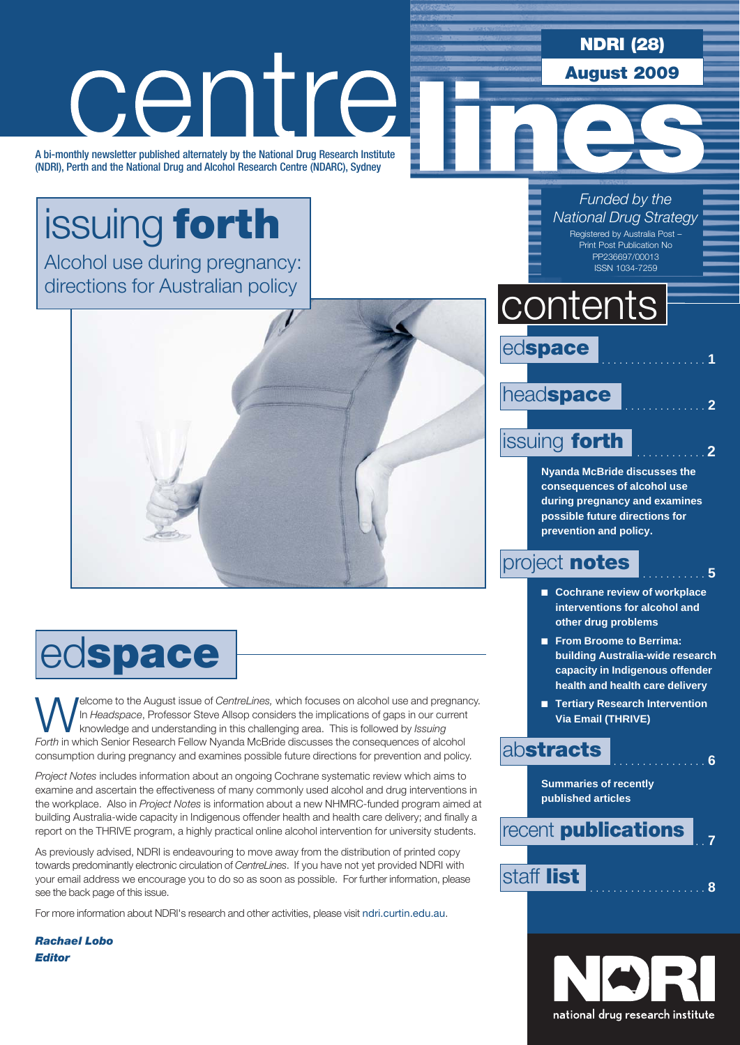NDRI (28)

August 2009

# issuing forth

A bi-monthly newsletter published alternately by the National Drug Research Institute (NDRI), Perth and the National Drug and Alcohol Research Centre (NDARC), Sydney

centre

Alcohol use during pregnancy: directions for Australian policy



## edspace

Welcome to the August issue of *CentreLines,* which focuses on alcohol use and pregnancy. In *Headspace*, Professor Steve Allsop considers the implications of gaps in our current knowledge and understanding in this challenging area. This is followed by *Issuing Forth* in which Senior Research Fellow Nyanda McBride discusses the consequences of alcohol consumption during pregnancy and examines possible future directions for prevention and policy.

*Project Notes* includes information about an ongoing Cochrane systematic review which aims to examine and ascertain the effectiveness of many commonly used alcohol and drug interventions in the workplace. Also in *Project Notes* is information about a new NHMRC-funded program aimed at building Australia-wide capacity in Indigenous offender health and health care delivery; and finally a report on the THRIVE program, a highly practical online alcohol intervention for university students.

As previously advised, NDRI is endeavouring to move away from the distribution of printed copy towards predominantly electronic circulation of *CentreLines*. If you have not yet provided NDRI with your email address we encourage you to do so as soon as possible. For further information, please see the back page of this issue.

For more information about NDRI's research and other activities, please visit ndri.curtin.edu.au.

*Rachael Lobo Editor*

*Funded by the National Drug Strategy*

> Registered by Australia Post – Print Post Publication No PP236697/00013 ISSN 1034-7259

### contents

edspace

### head**space**

### **issuing forth**

**Nyanda McBride discusses the consequences of alcohol use during pregnancy and examines possible future directions for prevention and policy.**

### project **notes**  $\begin{bmatrix} 5 \end{bmatrix}$

- Cochrane review of workplace **interventions for alcohol and other drug problems**
- **From Broome to Berrima: building Australia-wide research capacity in Indigenous offender health and health care delivery**
- **Tertiary Research Intervention Via Email (THRIVE)**

### **abstracts** . . . . . . . . . . 6

**Summaries of recently published articles**

recent **publications**  $\frac{1}{7}$ staff list . . **<sup>8</sup>**

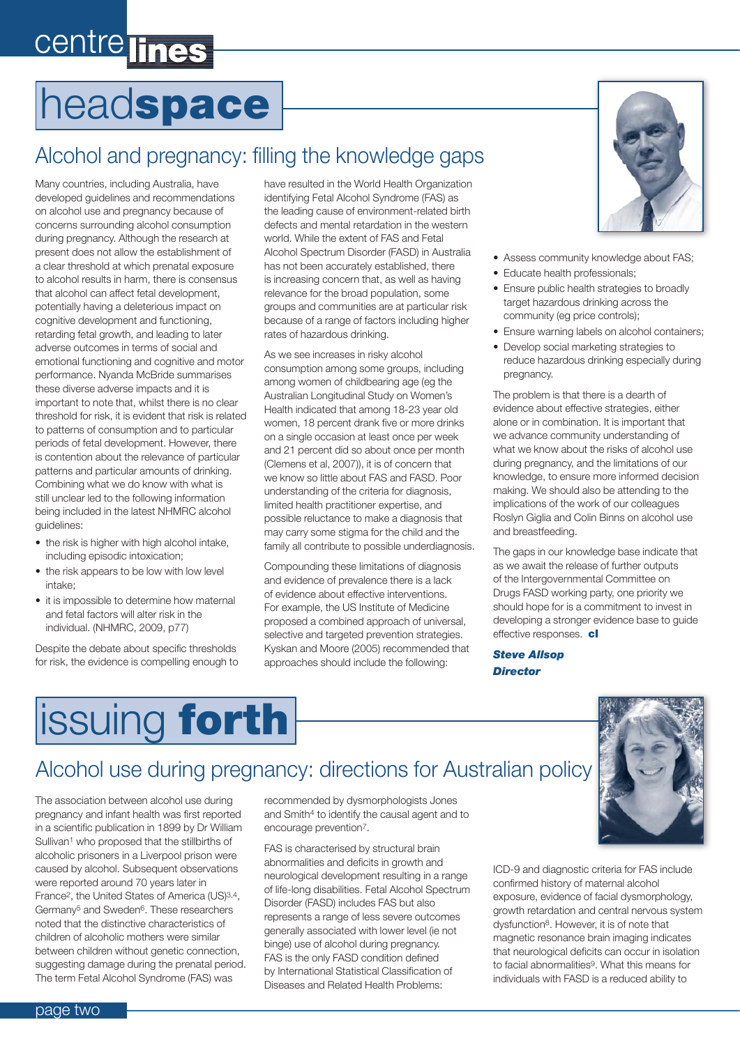# centre lines

# headspace

### Alcohol and pregnancy: filling the knowledge gaps

Many countries, including Australia, have developed guidelines and recommendations on alcohol use and pregnancy because of concerns surrounding alcohol consumption during pregnancy. Although the research at present does not allow the establishment of a clear threshold at which prenatal exposure to alcohol results in harm, there is consensus that alcohol can affect fetal development, potentially having a deleterious impact on cognitive development and functioning, retarding fetal growth, and leading to later adverse outcomes in terms of social and emotional functioning and cognitive and motor performance. Nyanda McBride summarises these diverse adverse impacts and it is important to note that, whilst there is no clear threshold for risk, it is evident that risk is related to patterns of consumption and to particular periods of fetal development. However, there is contention about the relevance of particular patterns and particular amounts of drinking. Combining what we do know with what is still unclear led to the following information being included in the latest NHMRC alcohol guidelines:

- the risk is higher with high alcohol intake, including episodic intoxication;
- the risk appears to be low with low level intake;
- it is impossible to determine how maternal and fetal factors will alter risk in the individual. (NHMRC, 2009, p77)

Despite the debate about specific thresholds for risk, the evidence is compelling enough to

have resulted in the World Health Organization identifying Fetal Alcohol Syndrome (FAS) as the leading cause of environment-related birth defects and mental retardation in the western world. While the extent of FAS and Fetal Alcohol Spectrum Disorder (FASD) in Australia has not been accurately established, there is increasing concern that, as well as having relevance for the broad population, some groups and communities are at particular risk because of a range of factors including higher rates of hazardous drinking.

As we see increases in risky alcohol consumption among some groups, including among women of childbearing age (eg the Australian Longitudinal Study on Women's Health indicated that among 18-23 year old women, 18 percent drank five or more drinks on a single occasion at least once per week and 21 percent did so about once per month (Clemens et al, 2007)), it is of concern that we know so little about FAS and FASD. Poor understanding of the criteria for diagnosis, limited health practitioner expertise, and possible reluctance to make a diagnosis that may carry some stigma for the child and the family all contribute to possible underdiagnosis.

Compounding these limitations of diagnosis and evidence of prevalence there is a lack of evidence about effective interventions. For example, the US Institute of Medicine proposed a combined approach of universal, selective and targeted prevention strategies. Kyskan and Moore (2005) recommended that approaches should include the following:



- Assess community knowledge about FAS;
- Educate health professionals;
- Ensure public health strategies to broadly target hazardous drinking across the community (eg price controls);
- Ensure warning labels on alcohol containers;
- • Develop social marketing strategies to reduce hazardous drinking especially during pregnancy.

The problem is that there is a dearth of evidence about effective strategies, either alone or in combination. It is important that we advance community understanding of what we know about the risks of alcohol use during pregnancy, and the limitations of our knowledge, to ensure more informed decision making. We should also be attending to the implications of the work of our colleagues Roslyn Giglia and Colin Binns on alcohol use and breastfeeding.

The gaps in our knowledge base indicate that as we await the release of further outputs of the Intergovernmental Committee on Drugs FASD working party, one priority we should hope for is a commitment to invest in developing a stronger evidence base to guide effective responses. cl

*Steve Allsop Director*



### Alcohol use during pregnancy: directions for Australian policy

The association between alcohol use during pregnancy and infant health was first reported in a scientific publication in 1899 by Dr William Sullivan1 who proposed that the stillbirths of alcoholic prisoners in a Liverpool prison were caused by alcohol. Subsequent observations were reported around 70 years later in France2, the United States of America (US)3,4, Germany5 and Sweden6. These researchers noted that the distinctive characteristics of children of alcoholic mothers were similar between children without genetic connection, suggesting damage during the prenatal period. The term Fetal Alcohol Syndrome (FAS) was

recommended by dysmorphologists Jones and Smith<sup>4</sup> to identify the causal agent and to encourage prevention7.

FAS is characterised by structural brain abnormalities and deficits in growth and neurological development resulting in a range of life-long disabilities. Fetal Alcohol Spectrum Disorder (FASD) includes FAS but also represents a range of less severe outcomes generally associated with lower level (ie not binge) use of alcohol during pregnancy. FAS is the only FASD condition defined by International Statistical Classification of Diseases and Related Health Problems:

ICD-9 and diagnostic criteria for FAS include confirmed history of maternal alcohol exposure, evidence of facial dysmorphology, growth retardation and central nervous system dysfunction8. However, it is of note that magnetic resonance brain imaging indicates that neurological deficits can occur in isolation to facial abnormalities<sup>9</sup>. What this means for individuals with FASD is a reduced ability to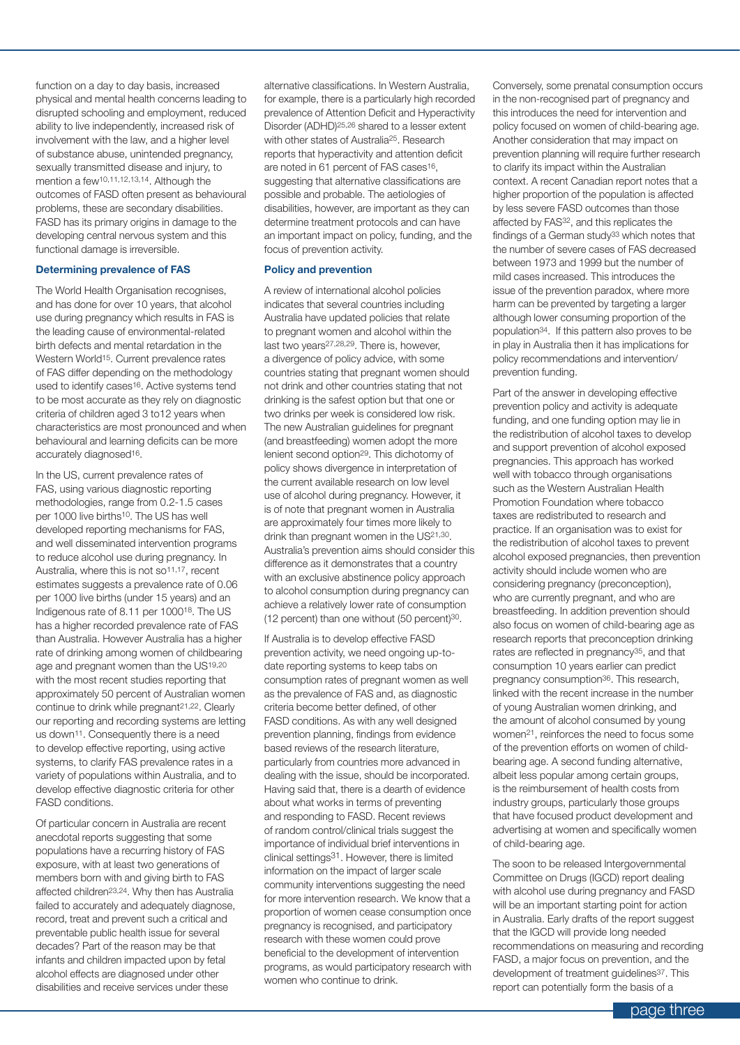function on a day to day basis, increased physical and mental health concerns leading to disrupted schooling and employment, reduced ability to live independently, increased risk of involvement with the law, and a higher level of substance abuse, unintended pregnancy, sexually transmitted disease and injury, to mention a few10,11,12,13,14. Although the outcomes of FASD often present as behavioural problems, these are secondary disabilities. FASD has its primary origins in damage to the developing central nervous system and this functional damage is irreversible.

#### **Determining prevalence of FAS**

The World Health Organisation recognises, and has done for over 10 years, that alcohol use during pregnancy which results in FAS is the leading cause of environmental-related birth defects and mental retardation in the Western World<sup>15</sup>. Current prevalence rates of FAS differ depending on the methodology used to identify cases<sup>16</sup>. Active systems tend to be most accurate as they rely on diagnostic criteria of children aged 3 to12 years when characteristics are most pronounced and when behavioural and learning deficits can be more accurately diagnosed<sup>16</sup>.

In the US, current prevalence rates of FAS, using various diagnostic reporting methodologies, range from 0.2-1.5 cases per 1000 live births10. The US has well developed reporting mechanisms for FAS, and well disseminated intervention programs to reduce alcohol use during pregnancy. In Australia, where this is not so<sup>11,17</sup>, recent estimates suggests a prevalence rate of 0.06 per 1000 live births (under 15 years) and an Indigenous rate of 8.11 per 100018. The US has a higher recorded prevalence rate of FAS than Australia. However Australia has a higher rate of drinking among women of childbearing age and pregnant women than the US19,20 with the most recent studies reporting that approximately 50 percent of Australian women continue to drink while pregnant21,22. Clearly our reporting and recording systems are letting us down11. Consequently there is a need to develop effective reporting, using active systems, to clarify FAS prevalence rates in a variety of populations within Australia, and to develop effective diagnostic criteria for other FASD conditions.

Of particular concern in Australia are recent anecdotal reports suggesting that some populations have a recurring history of FAS exposure, with at least two generations of members born with and giving birth to FAS affected children23,24. Why then has Australia failed to accurately and adequately diagnose, record, treat and prevent such a critical and preventable public health issue for several decades? Part of the reason may be that infants and children impacted upon by fetal alcohol effects are diagnosed under other disabilities and receive services under these

alternative classifications. In Western Australia, for example, there is a particularly high recorded prevalence of Attention Deficit and Hyperactivity Disorder (ADHD)25,26 shared to a lesser extent with other states of Australia25. Research reports that hyperactivity and attention deficit are noted in 61 percent of FAS cases<sup>16</sup>, suggesting that alternative classifications are possible and probable. The aetiologies of disabilities, however, are important as they can determine treatment protocols and can have an important impact on policy, funding, and the focus of prevention activity.

#### **Policy and prevention**

A review of international alcohol policies indicates that several countries including Australia have updated policies that relate to pregnant women and alcohol within the last two years27,28,29. There is, however, a divergence of policy advice, with some countries stating that pregnant women should not drink and other countries stating that not drinking is the safest option but that one or two drinks per week is considered low risk. The new Australian guidelines for pregnant (and breastfeeding) women adopt the more lenient second option29. This dichotomy of policy shows divergence in interpretation of the current available research on low level use of alcohol during pregnancy. However, it is of note that pregnant women in Australia are approximately four times more likely to drink than pregnant women in the US21,30. Australia's prevention aims should consider this difference as it demonstrates that a country with an exclusive abstinence policy approach to alcohol consumption during pregnancy can achieve a relatively lower rate of consumption (12 percent) than one without (50 percent)30.

If Australia is to develop effective FASD prevention activity, we need ongoing up-todate reporting systems to keep tabs on consumption rates of pregnant women as well as the prevalence of FAS and, as diagnostic criteria become better defined, of other FASD conditions. As with any well designed prevention planning, findings from evidence based reviews of the research literature, particularly from countries more advanced in dealing with the issue, should be incorporated. Having said that, there is a dearth of evidence about what works in terms of preventing and responding to FASD. Recent reviews of random control/clinical trials suggest the importance of individual brief interventions in clinical settings31. However, there is limited information on the impact of larger scale community interventions suggesting the need for more intervention research. We know that a proportion of women cease consumption once pregnancy is recognised, and participatory research with these women could prove beneficial to the development of intervention programs, as would participatory research with women who continue to drink.

Conversely, some prenatal consumption occurs in the non-recognised part of pregnancy and this introduces the need for intervention and policy focused on women of child-bearing age. Another consideration that may impact on prevention planning will require further research to clarify its impact within the Australian context. A recent Canadian report notes that a higher proportion of the population is affected by less severe FASD outcomes than those affected by FAS32, and this replicates the findings of a German study<sup>33</sup> which notes that the number of severe cases of FAS decreased between 1973 and 1999 but the number of mild cases increased. This introduces the issue of the prevention paradox, where more harm can be prevented by targeting a larger although lower consuming proportion of the population34. If this pattern also proves to be in play in Australia then it has implications for policy recommendations and intervention/ prevention funding.

Part of the answer in developing effective prevention policy and activity is adequate funding, and one funding option may lie in the redistribution of alcohol taxes to develop and support prevention of alcohol exposed pregnancies. This approach has worked well with tobacco through organisations such as the Western Australian Health Promotion Foundation where tobacco taxes are redistributed to research and practice. If an organisation was to exist for the redistribution of alcohol taxes to prevent alcohol exposed pregnancies, then prevention activity should include women who are considering pregnancy (preconception), who are currently pregnant, and who are breastfeeding. In addition prevention should also focus on women of child-bearing age as research reports that preconception drinking rates are reflected in pregnancy35, and that consumption 10 years earlier can predict pregnancy consumption<sup>36</sup>. This research, linked with the recent increase in the number of young Australian women drinking, and the amount of alcohol consumed by young women21, reinforces the need to focus some of the prevention efforts on women of childbearing age. A second funding alternative, albeit less popular among certain groups, is the reimbursement of health costs from industry groups, particularly those groups that have focused product development and advertising at women and specifically women of child-bearing age.

The soon to be released Intergovernmental Committee on Drugs (IGCD) report dealing with alcohol use during pregnancy and FASD will be an important starting point for action in Australia. Early drafts of the report suggest that the IGCD will provide long needed recommendations on measuring and recording FASD, a major focus on prevention, and the development of treatment guidelines<sup>37</sup>. This report can potentially form the basis of a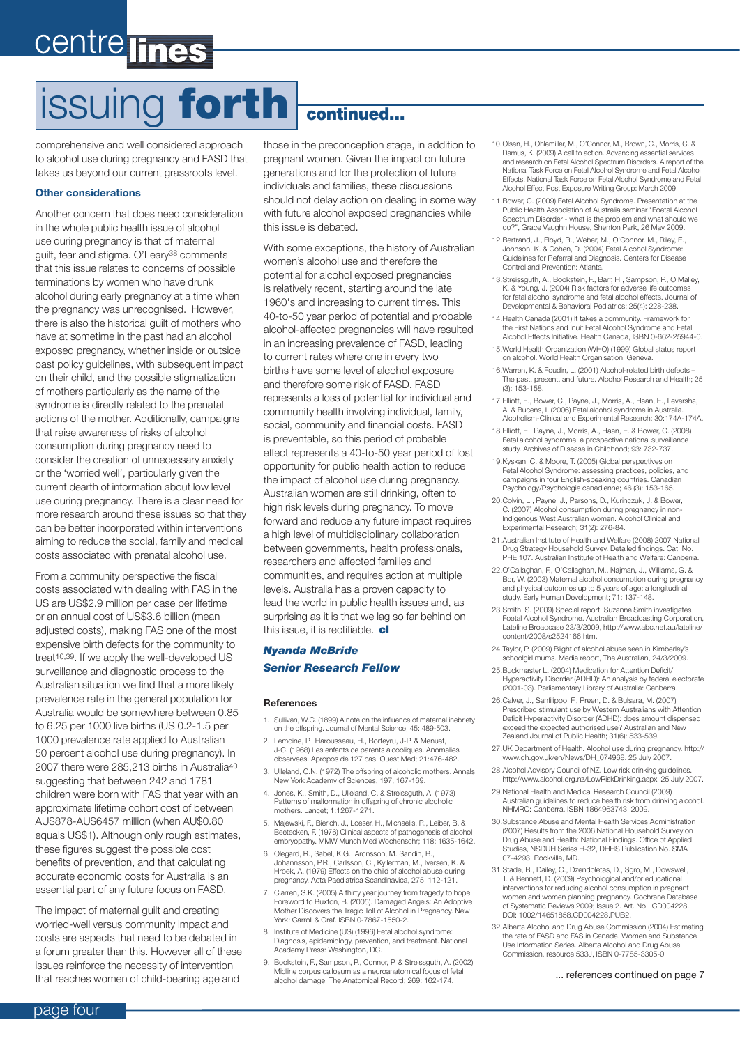# centre lines

# issuing forth continued...

comprehensive and well considered approach to alcohol use during pregnancy and FASD that takes us beyond our current grassroots level.

#### **Other considerations**

Another concern that does need consideration in the whole public health issue of alcohol use during pregnancy is that of maternal guilt, fear and stigma. O'Leary38 comments that this issue relates to concerns of possible terminations by women who have drunk alcohol during early pregnancy at a time when the pregnancy was unrecognised. However, there is also the historical guilt of mothers who have at sometime in the past had an alcohol exposed pregnancy, whether inside or outside past policy guidelines, with subsequent impact on their child, and the possible stigmatization of mothers particularly as the name of the syndrome is directly related to the prenatal actions of the mother. Additionally, campaigns that raise awareness of risks of alcohol consumption during pregnancy need to consider the creation of unnecessary anxiety or the 'worried well', particularly given the current dearth of information about low level use during pregnancy. There is a clear need for more research around these issues so that they can be better incorporated within interventions aiming to reduce the social, family and medical costs associated with prenatal alcohol use.

From a community perspective the fiscal costs associated with dealing with FAS in the US are US\$2.9 million per case per lifetime or an annual cost of US\$3.6 billion (mean adjusted costs), making FAS one of the most expensive birth defects for the community to treat<sup>10,39</sup>. If we apply the well-developed US surveillance and diagnostic process to the Australian situation we find that a more likely prevalence rate in the general population for Australia would be somewhere between 0.85 to 6.25 per 1000 live births (US 0.2-1.5 per 1000 prevalence rate applied to Australian 50 percent alcohol use during pregnancy). In 2007 there were 285,213 births in Australia40 suggesting that between 242 and 1781 children were born with FAS that year with an approximate lifetime cohort cost of between AU\$878-AU\$6457 million (when AU\$0.80 equals US\$1). Although only rough estimates, these figures suggest the possible cost benefits of prevention, and that calculating accurate economic costs for Australia is an essential part of any future focus on FASD.

The impact of maternal guilt and creating worried-well versus community impact and costs are aspects that need to be debated in a forum greater than this. However all of these issues reinforce the necessity of intervention that reaches women of child-bearing age and

those in the preconception stage, in addition to pregnant women. Given the impact on future generations and for the protection of future individuals and families, these discussions should not delay action on dealing in some way with future alcohol exposed pregnancies while this issue is debated.

With some exceptions, the history of Australian women's alcohol use and therefore the potential for alcohol exposed pregnancies is relatively recent, starting around the late 1960's and increasing to current times. This 40-to-50 year period of potential and probable alcohol-affected pregnancies will have resulted in an increasing prevalence of FASD, leading to current rates where one in every two births have some level of alcohol exposure and therefore some risk of FASD. FASD represents a loss of potential for individual and community health involving individual, family, social, community and financial costs. FASD is preventable, so this period of probable effect represents a 40-to-50 year period of lost opportunity for public health action to reduce the impact of alcohol use during pregnancy. Australian women are still drinking, often to high risk levels during pregnancy. To move forward and reduce any future impact requires a high level of multidisciplinary collaboration between governments, health professionals, researchers and affected families and communities, and requires action at multiple levels. Australia has a proven capacity to lead the world in public health issues and, as surprising as it is that we lag so far behind on this issue, it is rectifiable.  $c$ 

### *Nyanda McBride Senior Research Fellow*

#### **References**

- 1. Sullivan, W.C. (1899) A note on the influence of maternal inebriety on the offspring. Journal of Mental Science; 45: 489-503.
- 2. Lemoine, P., Harousseau, H., Borteyru, J-P. & Menuet, J-C. (1968) Les enfants de parents alcooliques. Anomalies observees. Apropos de 127 cas. Ouest Med; 21:476-482.
- 3. Ulleland, C.N. (1972) The offspring of alcoholic mothers. Annals New York Academy of Sciences, 197, 167-169.
- 4. Jones, K., Smith, D., Ulleland, C. & Streissguth, A. (1973) Patterns of malformation in offspring of chronic alcoholic mothers. Lancet; 1:1267-1271.
- 5. Majewski, F., Bierich, J., Loeser, H., Michaelis, R., Leiber, B. & Beetecken, F. (1976) Clinical aspects of pathogenesis of alcohol embryopathy. MMW Munch Med Wochenschr; 118: 1635-1642.
- 6. Olegard, R., Sabel, K.G., Aronsson, M. Sandin, B., Johannsson, P.R., Carlsson, C., Kyllerman, M., Iversen, K. & Hrbek, A. (1979) Effects on the child of alcohol abuse during pregnancy. Acta Paediatrica Scandinavica, 275, 112-121.
- 7. Clarren, S.K. (2005) A thirty year journey from tragedy to hope. Foreword to Buxton, B. (2005). Damaged Angels: An Adoptive Mother Discovers the Tragic Toll of Alcohol in Pregnancy. New York: Carroll & Graf. ISBN 0-7867-1550-2.
- 8. Institute of Medicine (US) (1996) Fetal alcohol syndrome: Diagnosis, epidemiology, prevention, and treatment. National Academy Press: Washington, DC.
- 9. Bookstein, F., Sampson, P., Connor, P. & Streissguth, A. (2002) Midline corpus callosum as a neuroanatomical focus of fetal alcohol damage. The Anatomical Record; 269: 162-174.
- 10.Olsen, H., Ohlemiller, M., O'Connor, M., Brown, C., Morris, C. & Damus, K. (2009) A call to action. Advancing essential services and research on Fetal Alcohol Spectrum Disorders. A report of the National Task Force on Fetal Alcohol Syndrome and Fetal Alcohol Effects. National Task Force on Fetal Alcohol Syndrome and Fetal Alcohol Effect Post Exposure Writing Group: March 2009.
- 11.Bower, C. (2009) Fetal Alcohol Syndrome. Presentation at the Public Health Association of Australia seminar "Foetal Alcohol Spectrum Disorder - what is the problem and what should we do?", Grace Vaughn House, Shenton Park, 26 May 2009.
- 12.Bertrand, J., Floyd, R., Weber, M., O'Connor. M., Riley, E., Johnson, K. & Cohen, D. (2004) Fetal Alcohol Syndrome: Guidelines for Referral and Diagnosis. Centers for Disease Control and Prevention: Atlanta.
- 13.Streissguth, A., Bookstein, F., Barr, H., Sampson, P., O'Malley, K. & Young, J. (2004) Risk factors for adverse life outcome for fetal alcohol syndrome and fetal alcohol effects. Journal of Developmental & Behavioral Pediatrics; 25(4): 228-238.
- 14.Health Canada (2001) It takes a community. Framework for the First Nations and Inuit Fetal Alcohol Syndrome and Fetal Alcohol Effects Initiative. Health Canada, ISBN 0-662-25944-0.
- 15.World Health Organization (WHO) (1999) Global status report on alcohol. World Health Organisation: Geneva.
- 16.Warren, K. & Foudin, L. (2001) Alcohol-related birth defects The past, present, and future. Alcohol Research and Health; 25 (3): 153-158.
- 17.Elliott, E., Bower, C., Payne, J., Morris, A., Haan, E., Leversha, A. & Bucens, I. (2006) Fetal alcohol syndrome in Australia. Alcoholism-Clinical and Experimental Research; 30:174A-174A.
- 18.Elliott, E., Payne, J., Morris, A., Haan, E. & Bower, C. (2008) Fetal alcohol syndrome: a prospective national surveillance study. Archives of Disease in Childhood; 93: 732-737.
- 19.Kyskan, C. & Moore, T. (2005) Global perspectives on Fetal Alcohol Syndrome: assessing practices, policies, and campaigns in four English-speaking countries. Canadian Psychology/Psychologie canadienne; 46 (3): 153-165.
- 20.Colvin, L., Payne, J., Parsons, D., Kurinczuk, J. & Bower, C. (2007) Alcohol consumption during pregnancy in non-Indigenous West Australian women. Alcohol Clinical and Experimental Research; 31(2): 276-84.
- 21.Australian Institute of Health and Welfare (2008) 2007 National Drug Strategy Household Survey. Detailed findings. Cat. No. PHE 107. Australian Institute of Health and Welfare: Canberra.
- 22.O'Callaghan, F., O'Callaghan, M., Najman, J., Williams, G. & Bor, W. (2003) Maternal alcohol consumption during pregnancy and physical outcomes up to 5 years of age: a longitudinal study. Early Human Development; 71: 137-148.
- 23.Smith, S. (2009) Special report: Suzanne Smith investigates Foetal Alcohol Syndrome. Australian Broadcasting Corporation, Lateline Broadcase 23/3/2009, http://www.abc.net.au/lateline/ content/2008/s2524166.htm.
- 24.Taylor, P. (2009) Blight of alcohol abuse seen in Kimberley's schoolgirl mums. Media report, The Australian, 24/3/2009.
- 25. Buckmaster L. (2004) Medication for Attention Deficit/ Hyperactivity Disorder (ADHD): An analysis by federal electorate (2001-03). Parliamentary Library of Australia: Canberra.
- 26.Calver, J., Sanfilippo, F., Preen, D. & Bulsara, M. (2007) Prescribed stimulant use by Western Australians with Attention Deficit Hyperactivity Disorder (ADHD): does amount dispensed exceed the expected authorised use? Australian and New Zealand Journal of Public Health; 31(6): 533-539.
- 27.UK Department of Health. Alcohol use during pregnancy. http:// www.dh.gov.uk/en/News/DH\_074968. 25 July 2007.
- 28.Alcohol Advisory Council of NZ. Low risk drinking guidelines. http://www.alcohol.org.nz/LowRiskDrinking.aspx 25 July 2007.
- 29.National Health and Medical Research Council (2009) Australian guidelines to reduce health risk from drinking alcohol. NHMRC: Canberra. ISBN 1864963743; 2009.
- 30.Substance Abuse and Mental Health Services Administration (2007) Results from the 2006 National Household Survey on Drug Abuse and Health: National Findings. Office of Applied Studies, NSDUH Series H-32, DHHS Publication No. SMA 07-4293: Rockville, MD.
- 31.Stade, B., Dailey, C., Dzendoletas, D., Sgro, M., Dowswell, T. & Bennett, D. (2009) Psychological and/or educational interventions for reducing alcohol consumption in pregnant women and women planning pregnancy. Cochrane Database of Systematic Reviews 2009; Issue 2. Art. No.: CD004228. DOI: 1002/14651858.CD004228.PUB2.
- 32.Alberta Alcohol and Drug Abuse Commission (2004) Estimating the rate of FASD and FAS in Canada. Women and Substance Use Information Series. Alberta Alcohol and Drug Abuse Commission, resource 533J, ISBN 0-7785-3305-0

... references continued on page 7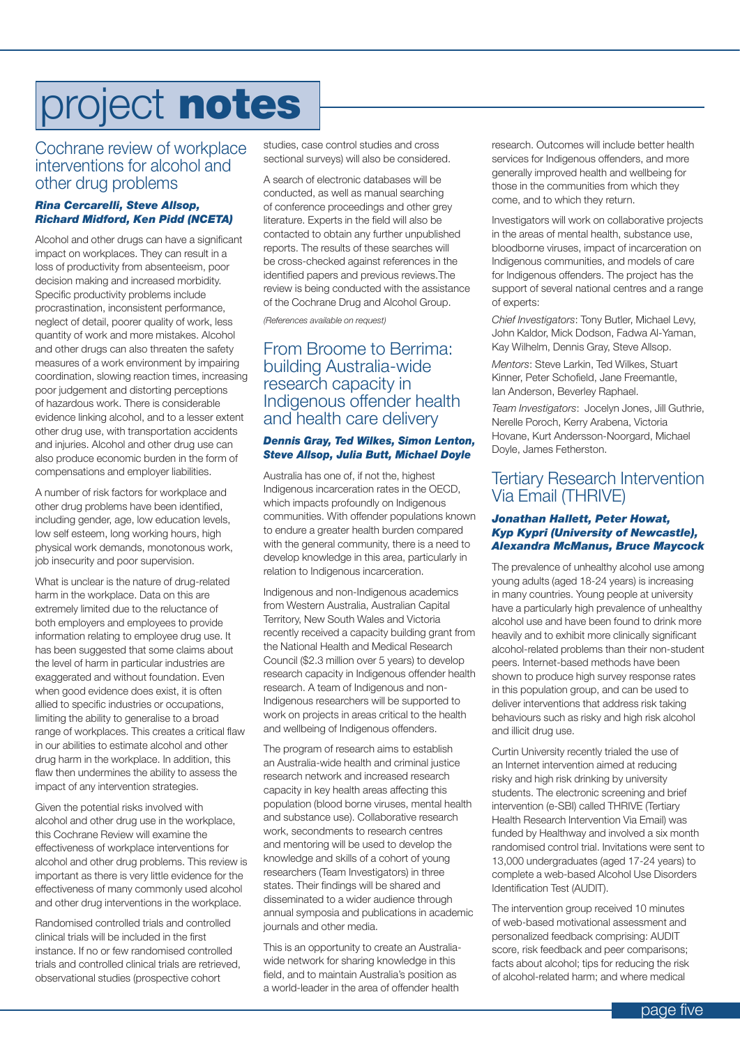# project notes

### Cochrane review of workplace interventions for alcohol and other drug problems

### *Rina Cercarelli, Steve Allsop, Richard Midford, Ken Pidd (NCETA)*

Alcohol and other drugs can have a significant impact on workplaces. They can result in a loss of productivity from absenteeism, poor decision making and increased morbidity. Specific productivity problems include procrastination, inconsistent performance, neglect of detail, poorer quality of work, less quantity of work and more mistakes. Alcohol and other drugs can also threaten the safety measures of a work environment by impairing coordination, slowing reaction times, increasing poor judgement and distorting perceptions of hazardous work. There is considerable evidence linking alcohol, and to a lesser extent other drug use, with transportation accidents and injuries. Alcohol and other drug use can also produce economic burden in the form of compensations and employer liabilities.

A number of risk factors for workplace and other drug problems have been identified, including gender, age, low education levels, low self esteem, long working hours, high physical work demands, monotonous work, job insecurity and poor supervision.

What is unclear is the nature of drug-related harm in the workplace. Data on this are extremely limited due to the reluctance of both employers and employees to provide information relating to employee drug use. It has been suggested that some claims about the level of harm in particular industries are exaggerated and without foundation. Even when good evidence does exist, it is often allied to specific industries or occupations, limiting the ability to generalise to a broad range of workplaces. This creates a critical flaw in our abilities to estimate alcohol and other drug harm in the workplace. In addition, this flaw then undermines the ability to assess the impact of any intervention strategies.

Given the potential risks involved with alcohol and other drug use in the workplace, this Cochrane Review will examine the effectiveness of workplace interventions for alcohol and other drug problems. This review is important as there is very little evidence for the effectiveness of many commonly used alcohol and other drug interventions in the workplace.

Randomised controlled trials and controlled clinical trials will be included in the first instance. If no or few randomised controlled trials and controlled clinical trials are retrieved, observational studies (prospective cohort

studies, case control studies and cross sectional surveys) will also be considered.

A search of electronic databases will be conducted, as well as manual searching of conference proceedings and other grey literature. Experts in the field will also be contacted to obtain any further unpublished reports. The results of these searches will be cross-checked against references in the identified papers and previous reviews.The review is being conducted with the assistance of the Cochrane Drug and Alcohol Group.

*(References available on request)*

### From Broome to Berrima: building Australia-wide research capacity in Indigenous offender health and health care delivery

### *Dennis Gray, Ted Wilkes, Simon Lenton, Steve Allsop, Julia Butt, Michael Doyle*

Australia has one of, if not the, highest Indigenous incarceration rates in the OECD, which impacts profoundly on Indigenous communities. With offender populations known to endure a greater health burden compared with the general community, there is a need to develop knowledge in this area, particularly in relation to Indigenous incarceration.

Indigenous and non-Indigenous academics from Western Australia, Australian Capital Territory, New South Wales and Victoria recently received a capacity building grant from the National Health and Medical Research Council (\$2.3 million over 5 years) to develop research capacity in Indigenous offender health research. A team of Indigenous and non-Indigenous researchers will be supported to work on projects in areas critical to the health and wellbeing of Indigenous offenders.

The program of research aims to establish an Australia-wide health and criminal justice research network and increased research capacity in key health areas affecting this population (blood borne viruses, mental health and substance use). Collaborative research work, secondments to research centres and mentoring will be used to develop the knowledge and skills of a cohort of young researchers (Team Investigators) in three states. Their findings will be shared and disseminated to a wider audience through annual symposia and publications in academic journals and other media.

This is an opportunity to create an Australiawide network for sharing knowledge in this field, and to maintain Australia's position as a world-leader in the area of offender health

research. Outcomes will include better health services for Indigenous offenders, and more generally improved health and wellbeing for those in the communities from which they come, and to which they return.

Investigators will work on collaborative projects in the areas of mental health, substance use, bloodborne viruses, impact of incarceration on Indigenous communities, and models of care for Indigenous offenders. The project has the support of several national centres and a range of experts:

*Chief Investigators*: Tony Butler, Michael Levy, John Kaldor, Mick Dodson, Fadwa Al-Yaman, Kay Wilhelm, Dennis Gray, Steve Allsop.

*Mentors*: Steve Larkin, Ted Wilkes, Stuart Kinner, Peter Schofield, Jane Freemantle, Ian Anderson, Beverley Raphael.

*Team Investigators*: Jocelyn Jones, Jill Guthrie, Nerelle Poroch, Kerry Arabena, Victoria Hovane, Kurt Andersson-Noorgard, Michael Doyle, James Fetherston.

### Tertiary Research Intervention Via Email (THRIVE)

#### *Jonathan Hallett, Peter Howat, Kyp Kypri (University of Newcastle), Alexandra McManus, Bruce Maycock*

The prevalence of unhealthy alcohol use among young adults (aged 18-24 years) is increasing in many countries. Young people at university have a particularly high prevalence of unhealthy alcohol use and have been found to drink more heavily and to exhibit more clinically significant alcohol-related problems than their non-student peers. Internet-based methods have been shown to produce high survey response rates in this population group, and can be used to deliver interventions that address risk taking behaviours such as risky and high risk alcohol and illicit drug use.

Curtin University recently trialed the use of an Internet intervention aimed at reducing risky and high risk drinking by university students. The electronic screening and brief intervention (e-SBI) called THRIVE (Tertiary Health Research Intervention Via Email) was funded by Healthway and involved a six month randomised control trial. Invitations were sent to 13,000 undergraduates (aged 17-24 years) to complete a web-based Alcohol Use Disorders Identification Test (AUDIT).

The intervention group received 10 minutes of web-based motivational assessment and personalized feedback comprising: AUDIT score, risk feedback and peer comparisons; facts about alcohol; tips for reducing the risk of alcohol-related harm; and where medical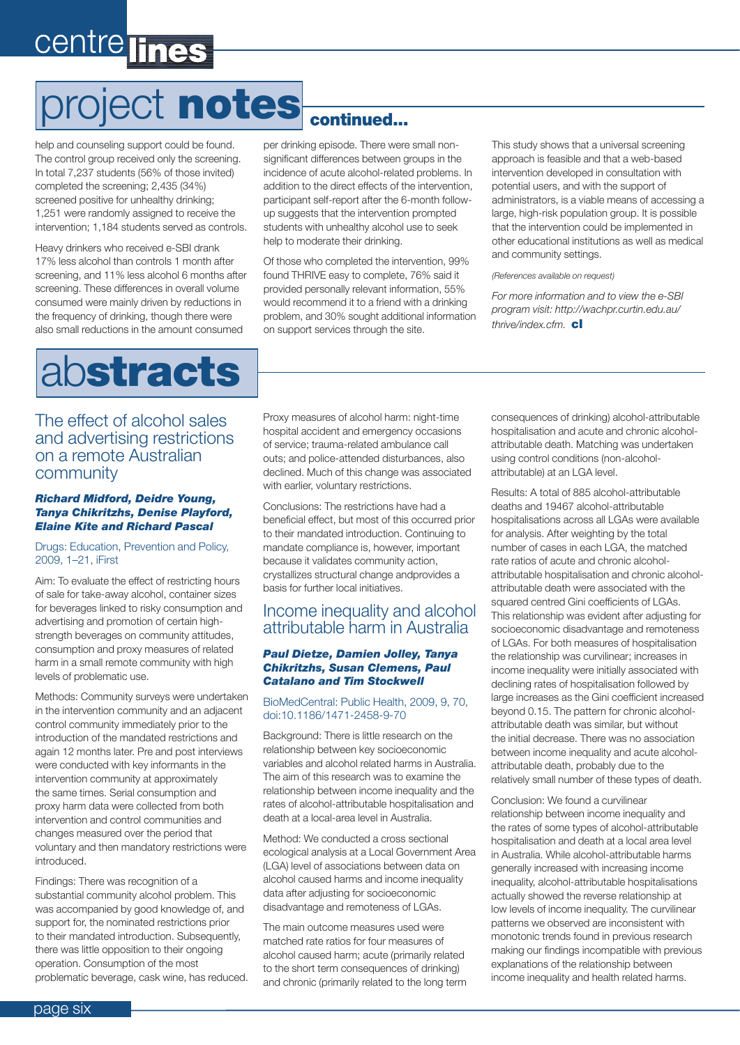# centre lines

# project notes continued...

help and counseling support could be found. The control group received only the screening. In total 7,237 students (56% of those invited) completed the screening; 2,435 (34%) screened positive for unhealthy drinking; 1,251 were randomly assigned to receive the intervention; 1,184 students served as controls.

Heavy drinkers who received e-SBI drank 17% less alcohol than controls 1 month after screening, and 11% less alcohol 6 months after screening. These differences in overall volume consumed were mainly driven by reductions in the frequency of drinking, though there were also small reductions in the amount consumed

per drinking episode. There were small nonsignificant differences between groups in the incidence of acute alcohol-related problems. In addition to the direct effects of the intervention, participant self-report after the 6-month followup suggests that the intervention prompted students with unhealthy alcohol use to seek help to moderate their drinking.

Of those who completed the intervention, 99% found THRIVE easy to complete, 76% said it provided personally relevant information, 55% would recommend it to a friend with a drinking problem, and 30% sought additional information on support services through the site.

This study shows that a universal screening approach is feasible and that a web-based intervention developed in consultation with potential users, and with the support of administrators, is a viable means of accessing a large, high-risk population group. It is possible that the intervention could be implemented in other educational institutions as well as medical and community settings.

*(References available on request)*

*For more information and to view the e-SBI program visit: http://wachpr.curtin.edu.au/ thrive/index.cfm.* cl

## abstracts

The effect of alcohol sales and advertising restrictions on a remote Australian community

#### *Richard Midford, Deidre Young, Tanya Chikritzhs, Denise Playford, Elaine Kite and Richard Pascal*

#### Drugs: Education, Prevention and Policy, 2009, 1–21, iFirst

Aim: To evaluate the effect of restricting hours of sale for take-away alcohol, container sizes for beverages linked to risky consumption and advertising and promotion of certain highstrength beverages on community attitudes, consumption and proxy measures of related harm in a small remote community with high levels of problematic use.

Methods: Community surveys were undertaken in the intervention community and an adjacent control community immediately prior to the introduction of the mandated restrictions and again 12 months later. Pre and post interviews were conducted with key informants in the intervention community at approximately the same times. Serial consumption and proxy harm data were collected from both intervention and control communities and changes measured over the period that voluntary and then mandatory restrictions were introduced.

Findings: There was recognition of a substantial community alcohol problem. This was accompanied by good knowledge of, and support for, the nominated restrictions prior to their mandated introduction. Subsequently, there was little opposition to their ongoing operation. Consumption of the most problematic beverage, cask wine, has reduced. Proxy measures of alcohol harm: night-time hospital accident and emergency occasions of service; trauma-related ambulance call outs; and police-attended disturbances, also declined. Much of this change was associated with earlier, voluntary restrictions.

Conclusions: The restrictions have had a beneficial effect, but most of this occurred prior to their mandated introduction. Continuing to mandate compliance is, however, important because it validates community action, crystallizes structural change andprovides a basis for further local initiatives.

### Income inequality and alcohol attributable harm in Australia

### *Paul Dietze, Damien Jolley, Tanya Chikritzhs, Susan Clemens, Paul Catalano and Tim Stockwell*

### BioMedCentral: Public Health, 2009, 9, 70, doi:10.1186/1471-2458-9-70

Background: There is little research on the relationship between key socioeconomic variables and alcohol related harms in Australia. The aim of this research was to examine the relationship between income inequality and the rates of alcohol-attributable hospitalisation and death at a local-area level in Australia.

Method: We conducted a cross sectional ecological analysis at a Local Government Area (LGA) level of associations between data on alcohol caused harms and income inequality data after adjusting for socioeconomic disadvantage and remoteness of LGAs.

The main outcome measures used were matched rate ratios for four measures of alcohol caused harm; acute (primarily related to the short term consequences of drinking) and chronic (primarily related to the long term consequences of drinking) alcohol-attributable hospitalisation and acute and chronic alcoholattributable death. Matching was undertaken using control conditions (non-alcoholattributable) at an LGA level.

Results: A total of 885 alcohol-attributable deaths and 19467 alcohol-attributable hospitalisations across all LGAs were available for analysis. After weighting by the total number of cases in each LGA, the matched rate ratios of acute and chronic alcoholattributable hospitalisation and chronic alcoholattributable death were associated with the squared centred Gini coefficients of LGAs. This relationship was evident after adjusting for socioeconomic disadvantage and remoteness of LGAs. For both measures of hospitalisation the relationship was curvilinear; increases in income inequality were initially associated with declining rates of hospitalisation followed by large increases as the Gini coefficient increased beyond 0.15. The pattern for chronic alcoholattributable death was similar, but without the initial decrease. There was no association between income inequality and acute alcoholattributable death, probably due to the relatively small number of these types of death.

Conclusion: We found a curvilinear relationship between income inequality and the rates of some types of alcohol-attributable hospitalisation and death at a local area level in Australia. While alcohol-attributable harms generally increased with increasing income inequality, alcohol-attributable hospitalisations actually showed the reverse relationship at low levels of income inequality. The curvilinear patterns we observed are inconsistent with monotonic trends found in previous research making our findings incompatible with previous explanations of the relationship between income inequality and health related harms.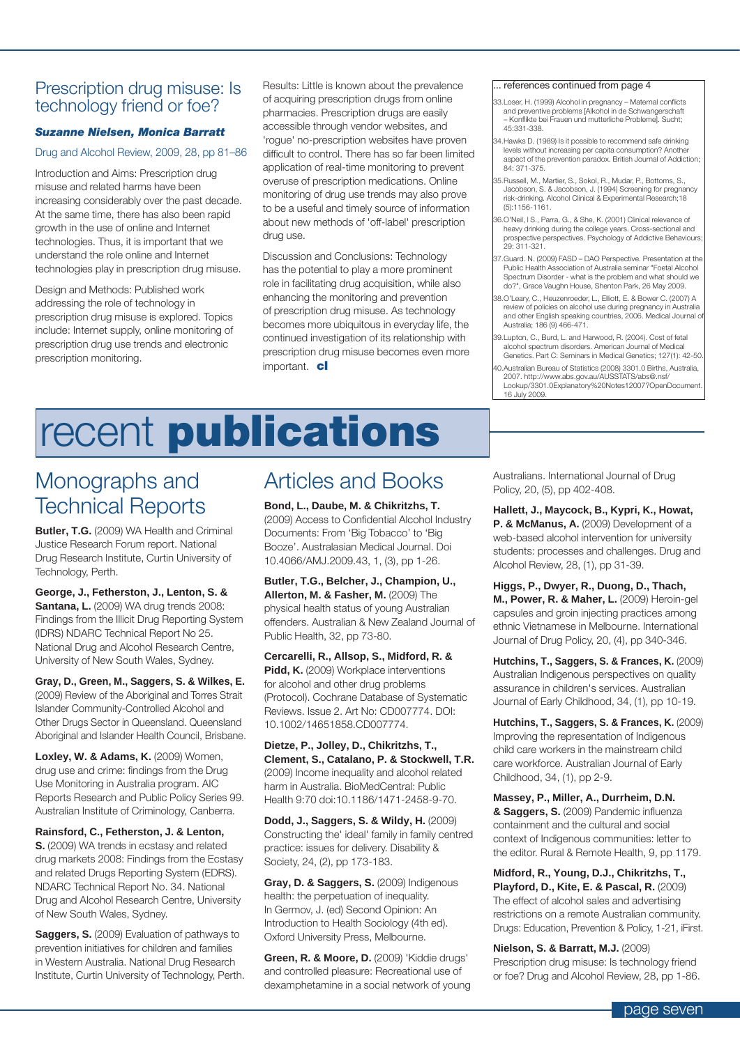### Prescription drug misuse: Is technology friend or foe?

### *Suzanne Nielsen, Monica Barratt*

#### Drug and Alcohol Review, 2009, 28, pp 81–86

Introduction and Aims: Prescription drug misuse and related harms have been increasing considerably over the past decade. At the same time, there has also been rapid growth in the use of online and Internet technologies. Thus, it is important that we understand the role online and Internet technologies play in prescription drug misuse.

Design and Methods: Published work addressing the role of technology in prescription drug misuse is explored. Topics include: Internet supply, online monitoring of prescription drug use trends and electronic prescription monitoring.

Results: Little is known about the prevalence of acquiring prescription drugs from online pharmacies. Prescription drugs are easily accessible through vendor websites, and 'rogue' no-prescription websites have proven difficult to control. There has so far been limited application of real-time monitoring to prevent overuse of prescription medications. Online monitoring of drug use trends may also prove to be a useful and timely source of information about new methods of 'off-label' prescription drug use.

Discussion and Conclusions: Technology has the potential to play a more prominent role in facilitating drug acquisition, while also enhancing the monitoring and prevention of prescription drug misuse. As technology becomes more ubiquitous in everyday life, the continued investigation of its relationship with prescription drug misuse becomes even more important. cl

#### references continued from page 4

- 33.Loser, H. (1999) Alcohol in pregnancy Maternal conflicts and preventive problems [Alkohol in de Schwangerschaft – Konflikte bei Frauen und mutterliche Probleme]. Sucht; 45:331-338.
- 34. Hawks D. (1989) Is it possible to recommend safe drinking levels without increasing per capita consumption? Another aspect of the prevention paradox. British Journal of Addiction; 84: 371-375.
- 35.Russell, M., Martier, S., Sokol, R., Mudar, P., Bottoms, S., Jacobson, S. & Jacobson, J. (1994) Screening for pregnancy risk-drinking. Alcohol Clinical & Experimental Research;18 (5):1156-1161.
- 36.O'Neil, l S., Parra, G., & She, K. (2001) Clinical relevance of heavy drinking during the college years. Cross-sectional and prospective perspectives. Psychology of Addictive Behaviours; 29: 311-321.
- 37.Guard. N. (2009) FASD DAO Perspective. Presentation at the Public Health Association of Australia seminar "Foetal Alcohol Spectrum Disorder - what is the problem and what should we do?", Grace Vaughn House, Shenton Park, 26 May 2009.
- 38.O'Leary, C., Heuzenroeder, L., Elliott, E. & Bower C. (2007) A review of policies on alcohol use during pregnancy in Australia and other English speaking countries, 2006. Medical Journal of Australia; 186 (9) 466-471.
- 39.Lupton, C., Burd, L. and Harwood, R. (2004). Cost of fetal alcohol spectrum disorders. American Journal of Medical Genetics. Part C: Seminars in Medical Genetics; 127(1): 42-50.
- 40.Australian Bureau of Statistics (2008) 3301.0 Births, Australia, 2007. http://www.abs.gov.au/AUSSTATS/abs@.nsf/ Lookup/3301.0Explanatory%20Notes12007?OpenDocument. 16 July 2009.

# recent **publications**

### Monographs and Technical Reports

**Butler, T.G.** (2009) WA Health and Criminal Justice Research Forum report. National Drug Research Institute, Curtin University of Technology, Perth.

**George, J., Fetherston, J., Lenton, S. & Santana, L.** (2009) WA drug trends 2008: Findings from the Illicit Drug Reporting System (IDRS) NDARC Technical Report No 25. National Drug and Alcohol Research Centre, University of New South Wales, Sydney.

**Gray, D., Green, M., Saggers, S. & Wilkes, E.** (2009) Review of the Aboriginal and Torres Strait Islander Community-Controlled Alcohol and Other Drugs Sector in Queensland. Queensland Aboriginal and Islander Health Council, Brisbane.

**Loxley, W. & Adams, K.** (2009) Women, drug use and crime: findings from the Drug Use Monitoring in Australia program. AIC Reports Research and Public Policy Series 99. Australian Institute of Criminology, Canberra.

**Rainsford, C., Fetherston, J. & Lenton, S.** (2009) WA trends in ecstasy and related drug markets 2008: Findings from the Ecstasy and related Drugs Reporting System (EDRS). NDARC Technical Report No. 34. National Drug and Alcohol Research Centre, University of New South Wales, Sydney.

**Saggers, S.** (2009) Evaluation of pathways to prevention initiatives for children and families in Western Australia. National Drug Research Institute, Curtin University of Technology, Perth.

### Articles and Books

**Bond, L., Daube, M. & Chikritzhs, T.** (2009) Access to Confidential Alcohol Industry Documents: From 'Big Tobacco' to 'Big Booze'. Australasian Medical Journal. Doi 10.4066/AMJ.2009.43, 1, (3), pp 1-26.

**Butler, T.G., Belcher, J., Champion, U., Allerton, M. & Fasher, M.** (2009) The physical health status of young Australian offenders. Australian & New Zealand Journal of Public Health, 32, pp 73-80.

**Cercarelli, R., Allsop, S., Midford, R. &**  Pidd, K. (2009) Workplace interventions for alcohol and other drug problems (Protocol). Cochrane Database of Systematic Reviews. Issue 2. Art No: CD007774. DOI: 10.1002/14651858.CD007774.

**Dietze, P., Jolley, D., Chikritzhs, T., Clement, S., Catalano, P. & Stockwell, T.R.** (2009) Income inequality and alcohol related harm in Australia. BioMedCentral: Public Health 9:70 doi:10.1186/1471-2458-9-70.

**Dodd, J., Saggers, S. & Wildy, H.** (2009) Constructing the' ideal' family in family centred practice: issues for delivery. Disability & Society, 24, (2), pp 173-183.

**Gray, D. & Saggers, S.** (2009) Indigenous health: the perpetuation of inequality. In Germov, J. (ed) Second Opinion: An Introduction to Health Sociology (4th ed). Oxford University Press, Melbourne.

**Green, R. & Moore, D.** (2009) 'Kiddie drugs' and controlled pleasure: Recreational use of dexamphetamine in a social network of young Australians. International Journal of Drug Policy, 20, (5), pp 402-408.

**Hallett, J., Maycock, B., Kypri, K., Howat,**  P. & McManus, A. (2009) Development of a web-based alcohol intervention for university students: processes and challenges. Drug and Alcohol Review, 28, (1), pp 31-39.

**Higgs, P., Dwyer, R., Duong, D., Thach, M., Power, R. & Maher, L.** (2009) Heroin-gel capsules and groin injecting practices among ethnic Vietnamese in Melbourne. International Journal of Drug Policy, 20, (4), pp 340-346.

**Hutchins, T., Saggers, S. & Frances, K.** (2009) Australian Indigenous perspectives on quality assurance in children's services. Australian Journal of Early Childhood, 34, (1), pp 10-19.

**Hutchins, T., Saggers, S. & Frances, K.** (2009) Improving the representation of Indigenous child care workers in the mainstream child care workforce. Australian Journal of Early Childhood, 34, (1), pp 2-9.

**Massey, P., Miller, A., Durrheim, D.N. & Saggers, S.** (2009) Pandemic influenza containment and the cultural and social context of Indigenous communities: letter to the editor. Rural & Remote Health, 9, pp 1179.

**Midford, R., Young, D.J., Chikritzhs, T., Playford, D., Kite, E. & Pascal, R.** (2009) The effect of alcohol sales and advertising restrictions on a remote Australian community. Drugs: Education, Prevention & Policy, 1-21, iFirst.

**Nielson, S. & Barratt, M.J.** (2009) Prescription drug misuse: Is technology friend or foe? Drug and Alcohol Review, 28, pp 1-86.